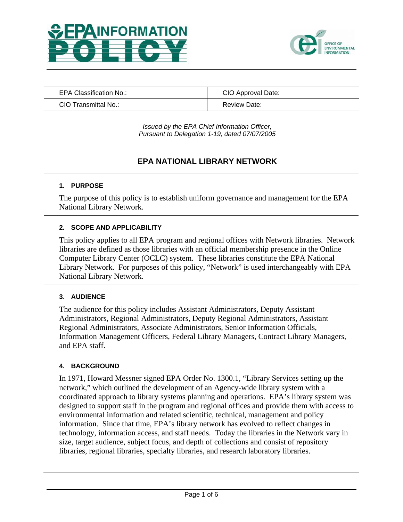



| EPA Classification No.: | CIO Approval Date: |
|-------------------------|--------------------|
| CIO Transmittal No.:    | Review Date:       |

*Issued by the EPA Chief Information Officer, Pursuant to Delegation 1-19, dated 07/07/2005* 

# **EPA NATIONAL LIBRARY NETWORK**

### **1. PURPOSE**

The purpose of this policy is to establish uniform governance and management for the EPA National Library Network.

### **2. SCOPE AND APPLICABILITY**

This policy applies to all EPA program and regional offices with Network libraries. Network libraries are defined as those libraries with an official membership presence in the Online Computer Library Center (OCLC) system. These libraries constitute the EPA National Library Network. For purposes of this policy, "Network" is used interchangeably with EPA National Library Network.

#### **3. AUDIENCE**

The audience for this policy includes Assistant Administrators, Deputy Assistant Administrators, Regional Administrators, Deputy Regional Administrators, Assistant Regional Administrators, Associate Administrators, Senior Information Officials, Information Management Officers, Federal Library Managers, Contract Library Managers, and EPA staff.

#### **4. BACKGROUND**

In 1971, Howard Messner signed EPA Order No. 1300.1, "Library Services setting up the network," which outlined the development of an Agency-wide library system with a coordinated approach to library systems planning and operations. EPA's library system was designed to support staff in the program and regional offices and provide them with access to environmental information and related scientific, technical, management and policy information. Since that time, EPA's library network has evolved to reflect changes in technology, information access, and staff needs. Today the libraries in the Network vary in size, target audience, subject focus, and depth of collections and consist of repository libraries, regional libraries, specialty libraries, and research laboratory libraries.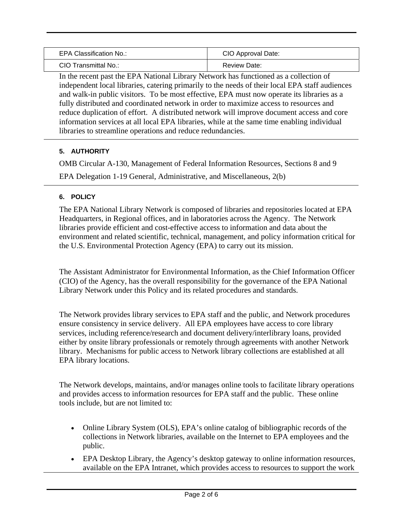| EPA Classification No.: | CIO Approval Date: |
|-------------------------|--------------------|
| CIO Transmittal No.:    | Review Date:       |

In the recent past the EPA National Library Network has functioned as a collection of independent local libraries, catering primarily to the needs of their local EPA staff audiences and walk-in public visitors. To be most effective, EPA must now operate its libraries as a fully distributed and coordinated network in order to maximize access to resources and reduce duplication of effort. A distributed network will improve document access and core information services at all local EPA libraries, while at the same time enabling individual libraries to streamline operations and reduce redundancies.

# **5. AUTHORITY**

OMB Circular A-130, Management of Federal Information Resources, Sections 8 and 9

EPA Delegation 1-19 General, Administrative, and Miscellaneous, 2(b)

# **6. POLICY**

The EPA National Library Network is composed of libraries and repositories located at EPA Headquarters, in Regional offices, and in laboratories across the Agency. The Network libraries provide efficient and cost-effective access to information and data about the environment and related scientific, technical, management, and policy information critical for the U.S. Environmental Protection Agency (EPA) to carry out its mission.

The Assistant Administrator for Environmental Information, as the Chief Information Officer (CIO) of the Agency, has the overall responsibility for the governance of the EPA National Library Network under this Policy and its related procedures and standards.

The Network provides library services to EPA staff and the public, and Network procedures ensure consistency in service delivery. All EPA employees have access to core library services, including reference/research and document delivery/interlibrary loans, provided either by onsite library professionals or remotely through agreements with another Network library. Mechanisms for public access to Network library collections are established at all EPA library locations.

The Network develops, maintains, and/or manages online tools to facilitate library operations and provides access to information resources for EPA staff and the public. These online tools include, but are not limited to:

- Online Library System (OLS), EPA's online catalog of bibliographic records of the collections in Network libraries, available on the Internet to EPA employees and the public.
- EPA Desktop Library, the Agency's desktop gateway to online information resources, available on the EPA Intranet, which provides access to resources to support the work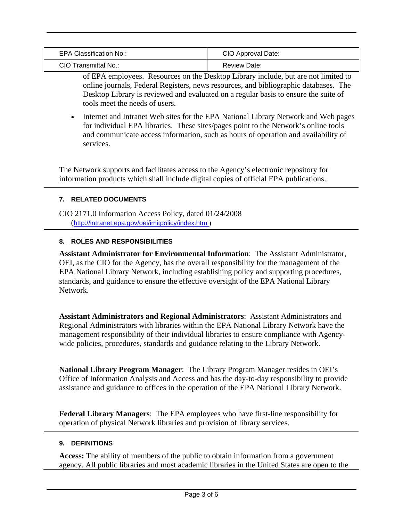| <b>EPA Classification No.:</b> | CIO Approval Date: |
|--------------------------------|--------------------|
| CIO Transmittal No.:           | Review Date:       |

of EPA employees. Resources on the Desktop Library include, but are not limited to online journals, Federal Registers, news resources, and bibliographic databases. The Desktop Library is reviewed and evaluated on a regular basis to ensure the suite of tools meet the needs of users.

• Internet and Intranet Web sites for the EPA National Library Network and Web pages for individual EPA libraries. These sites/pages point to the Network's online tools and communicate access information, such as hours of operation and availability of services.

The Network supports and facilitates access to the Agency's electronic repository for information products which shall include digital copies of official EPA publications.

# **7. RELATED DOCUMENTS**

CIO 2171.0 Information Access Policy, dated 01/24/2008 (<http://intranet.epa.gov/oei/imitpolicy/index.htm>)

# **8. ROLES AND RESPONSIBILITIES**

**Assistant Administrator for Environmental Information**: The Assistant Administrator, OEI, as the CIO for the Agency, has the overall responsibility for the management of the EPA National Library Network, including establishing policy and supporting procedures, standards, and guidance to ensure the effective oversight of the EPA National Library Network.

**Assistant Administrators and Regional Administrators**: Assistant Administrators and Regional Administrators with libraries within the EPA National Library Network have the management responsibility of their individual libraries to ensure compliance with Agencywide policies, procedures, standards and guidance relating to the Library Network.

**National Library Program Manager**: The Library Program Manager resides in OEI's Office of Information Analysis and Access and has the day-to-day responsibility to provide assistance and guidance to offices in the operation of the EPA National Library Network.

**Federal Library Managers**: The EPA employees who have first-line responsibility for operation of physical Network libraries and provision of library services.

# **9. DEFINITIONS**

**Access:** The ability of members of the public to obtain information from a government agency. All public libraries and most academic libraries in the United States are open to the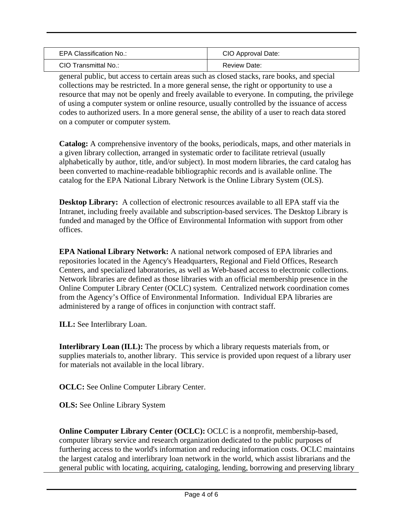| EPA Classification No.: | CIO Approval Date: |
|-------------------------|--------------------|
| CIO Transmittal No.:    | Review Date:       |

general public, but access to certain areas such as closed stacks, rare books, and special collections may be restricted. In a more general sense, the right or opportunity to use a resource that may not be openly and freely available to everyone. In computing, the privilege of using a computer system or online resource, usually controlled by the issuance of access codes to authorized users. In a more general sense, the ability of a user to reach data stored on a computer or computer system.

**Catalog:** A comprehensive inventory of the books, periodicals, maps, and other materials in a given library collection, arranged in systematic order to facilitate retrieval (usually alphabetically by author, title, and/or subject). In most modern libraries, the card catalog has been converted to machine-readable bibliographic records and is available online. The catalog for the EPA National Library Network is the Online Library System (OLS).

**Desktop Library:** A collection of electronic resources available to all EPA staff via the Intranet, including freely available and subscription-based services. The Desktop Library is funded and managed by the Office of Environmental Information with support from other offices.

**EPA National Library Network:** A national network composed of EPA libraries and repositories located in the Agency's Headquarters, Regional and Field Offices, Research Centers, and specialized laboratories, as well as Web-based access to electronic collections. Network libraries are defined as those libraries with an official membership presence in the Online Computer Library Center (OCLC) system. Centralized network coordination comes from the Agency's Office of Environmental Information. Individual EPA libraries are administered by a range of offices in conjunction with contract staff.

**ILL:** See Interlibrary Loan.

**Interlibrary Loan (ILL):** The process by which a library requests materials from, or supplies materials to, another library. This service is provided upon request of a library user for materials not available in the local library.

**OCLC:** See Online Computer Library Center.

**OLS:** See Online Library System

**Online Computer Library Center (OCLC):** OCLC is a nonprofit, membership-based, computer library service and research organization dedicated to the public purposes of furthering access to the world's information and reducing information costs. OCLC maintains the largest catalog and interlibrary loan network in the world, which assist librarians and the general public with locating, acquiring, cataloging, lending, borrowing and preserving library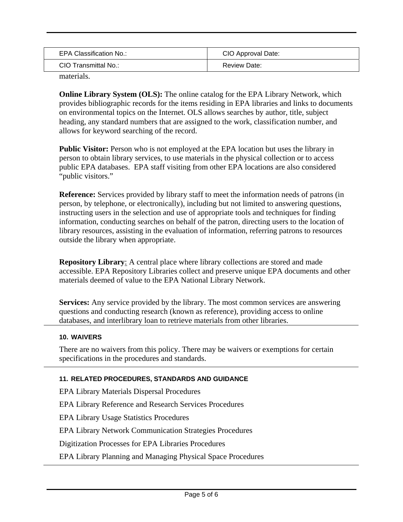| EPA Classification No.: | CIO Approval Date: |
|-------------------------|--------------------|
| CIO Transmittal No.:    | Review Date:       |

materials.

**Online Library System (OLS):** The online catalog for the EPA Library Network, which provides bibliographic records for the items residing in EPA libraries and links to documents on environmental topics on the Internet. OLS allows searches by author, title, subject heading, any standard numbers that are assigned to the work, classification number, and allows for keyword searching of the record.

Public Visitor: Person who is not employed at the EPA location but uses the library in person to obtain library services, to use materials in the physical collection or to access public EPA databases. EPA staff visiting from other EPA locations are also considered "public visitors."

**Reference:** Services provided by library staff to meet the information needs of patrons (in person, by telephone, or electronically), including but not limited to answering questions, instructing users in the selection and use of appropriate tools and techniques for finding information, conducting searches on behalf of the patron, directing users to the location of library resources, assisting in the evaluation of information, referring patrons to resources outside the library when appropriate.

**Repository Library**: A central place where library collections are stored and made accessible. EPA Repository Libraries collect and preserve unique EPA documents and other materials deemed of value to the EPA National Library Network.

**Services:** Any service provided by the library. The most common services are answering questions and conducting research (known as reference), providing access to online databases, and interlibrary loan to retrieve materials from other libraries.

# **10. WAIVERS**

There are no waivers from this policy. There may be waivers or exemptions for certain specifications in the procedures and standards.

# **11. RELATED PROCEDURES, STANDARDS AND GUIDANCE**

EPA Library Materials Dispersal Procedures

EPA Library Reference and Research Services Procedures

EPA Library Usage Statistics Procedures

EPA Library Network Communication Strategies Procedures

Digitization Processes for EPA Libraries Procedures

EPA Library Planning and Managing Physical Space Procedures